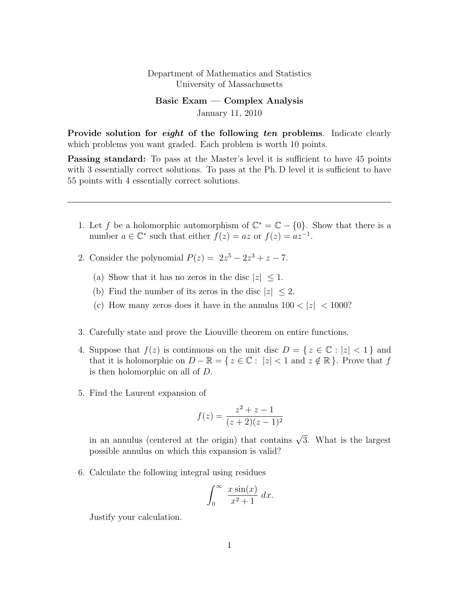## Department of Mathematics and Statistics University of Massachusetts

Basic Exam — Complex Analysis January 11, 2010

Provide solution for *eight* of the following ten problems. Indicate clearly which problems you want graded. Each problem is worth 10 points.

**Passing standard:** To pass at the Master's level it is sufficient to have 45 points with 3 essentially correct solutions. To pass at the Ph. D level it is sufficient to have 55 points with 4 essentially correct solutions.

- 1. Let f be a holomorphic automorphism of  $\mathbb{C}^* = \mathbb{C} \{0\}$ . Show that there is a number  $a \in \mathbb{C}^*$  such that either  $f(z) = az$  or  $f(z) = az^{-1}$ .
- 2. Consider the polynomial  $P(z) = 2z^5 2z^3 + z 7$ .
	- (a) Show that it has no zeros in the disc  $|z| \leq 1$ .
	- (b) Find the number of its zeros in the disc  $|z| \leq 2$ .
	- (c) How many zeros does it have in the annulus  $100 < |z| < 1000$ ?
- 3. Carefully state and prove the Liouville theorem on entire functions.
- 4. Suppose that  $f(z)$  is continuous on the unit disc  $D = \{ z \in \mathbb{C} : |z| < 1 \}$  and that it is holomorphic on  $D - \mathbb{R} = \{ z \in \mathbb{C} : |z| < 1 \text{ and } z \notin \mathbb{R} \}.$  Prove that f is then holomorphic on all of D.
- 5. Find the Laurent expansion of

$$
f(z) = \frac{z^2 + z - 1}{(z + 2)(z - 1)^2}
$$

in an annulus (centered at the origin) that contains  $\sqrt{3}$ . What is the largest possible annulus on which this expansion is valid?

6. Calculate the following integral using residues

$$
\int_0^\infty \frac{x \sin(x)}{x^2 + 1} \, dx.
$$

Justify your calculation.